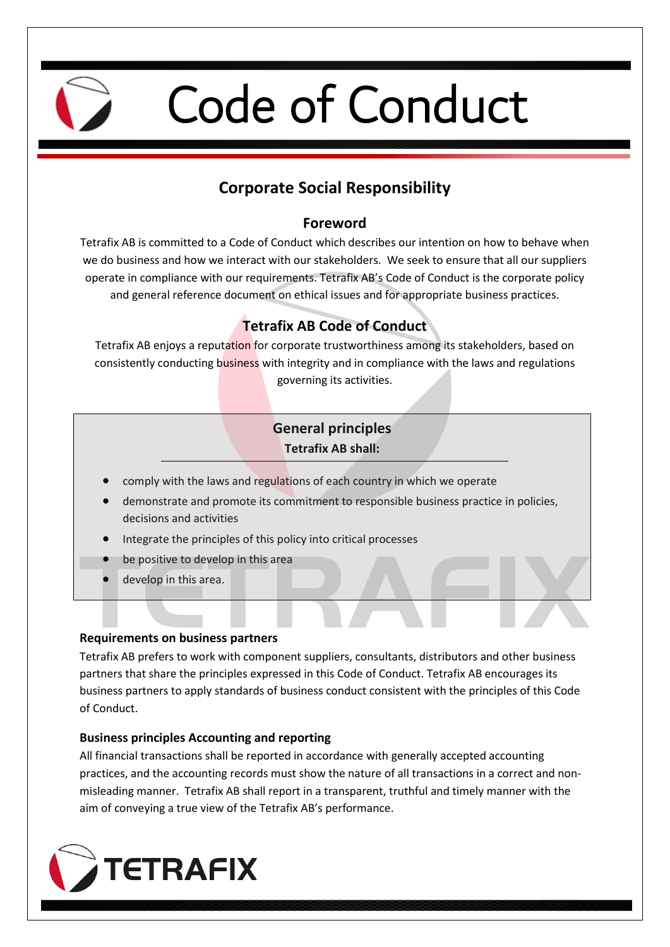

# Code of Conduct

# **Corporate Social Responsibility**

# **Foreword**

Tetrafix AB is committed to a Code of Conduct which describes our intention on how to behave when we do business and how we interact with our stakeholders. We seek to ensure that all our suppliers operate in compliance with our requirements. Tetrafix AB's Code of Conduct is the corporate policy and general reference document on ethical issues and for appropriate business practices.

# **Tetrafix AB Code of Conduct**

Tetrafix AB enjoys a reputation for corporate trustworthiness among its stakeholders, based on consistently conducting business with integrity and in compliance with the laws and regulations governing its activities.

## **General principles Tetrafix AB shall:**

- comply with the laws and regulations of each country in which we operate
- demonstrate and promote its commitment to responsible business practice in policies, decisions and activities
- Integrate the principles of this policy into critical processes
- be positive to develop in this area
- develop in this area.

### **Requirements on business partners**

Tetrafix AB prefers to work with component suppliers, consultants, distributors and other business partners that share the principles expressed in this Code of Conduct. Tetrafix AB encourages its business partners to apply standards of business conduct consistent with the principles of this Code of Conduct.

# **Business principles Accounting and reporting**

All financial transactions shall be reported in accordance with generally accepted accounting practices, and the accounting records must show the nature of all transactions in a correct and nonmisleading manner. Tetrafix AB shall report in a transparent, truthful and timely manner with the aim of conveying a true view of the Tetrafix AB's performance.

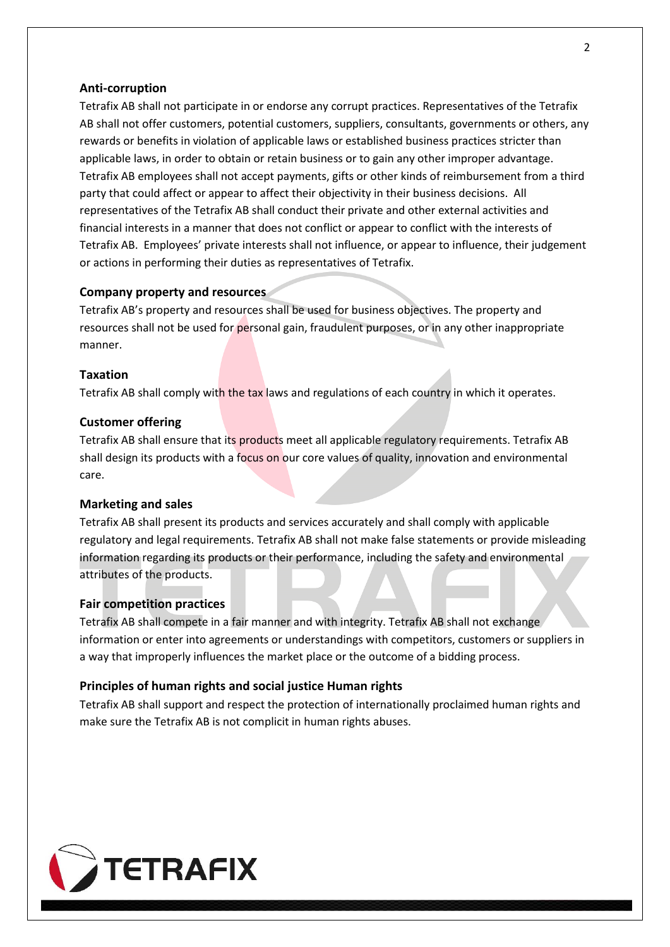#### **Anti-corruption**

Tetrafix AB shall not participate in or endorse any corrupt practices. Representatives of the Tetrafix AB shall not offer customers, potential customers, suppliers, consultants, governments or others, any rewards or benefits in violation of applicable laws or established business practices stricter than applicable laws, in order to obtain or retain business or to gain any other improper advantage. Tetrafix AB employees shall not accept payments, gifts or other kinds of reimbursement from a third party that could affect or appear to affect their objectivity in their business decisions. All representatives of the Tetrafix AB shall conduct their private and other external activities and financial interests in a manner that does not conflict or appear to conflict with the interests of Tetrafix AB. Employees' private interests shall not influence, or appear to influence, their judgement or actions in performing their duties as representatives of Tetrafix.

#### **Company property and resources**

Tetrafix AB's property and resources shall be used for business objectives. The property and resources shall not be used for personal gain, fraudulent purposes, or in any other inappropriate manner.

#### **Taxation**

Tetrafix AB shall comply with the tax laws and regulations of each country in which it operates.

#### **Customer offering**

Tetrafix AB shall ensure that its products meet all applicable regulatory requirements. Tetrafix AB shall design its products with a focus on our core values of quality, innovation and environmental care.

#### **Marketing and sales**

Tetrafix AB shall present its products and services accurately and shall comply with applicable regulatory and legal requirements. Tetrafix AB shall not make false statements or provide misleading information regarding its products or their performance, including the safety and environmental attributes of the products.

#### **Fair competition practices**

Tetrafix AB shall compete in a fair manner and with integrity. Tetrafix AB shall not exchange information or enter into agreements or understandings with competitors, customers or suppliers in a way that improperly influences the market place or the outcome of a bidding process.

#### **Principles of human rights and social justice Human rights**

Tetrafix AB shall support and respect the protection of internationally proclaimed human rights and make sure the Tetrafix AB is not complicit in human rights abuses.

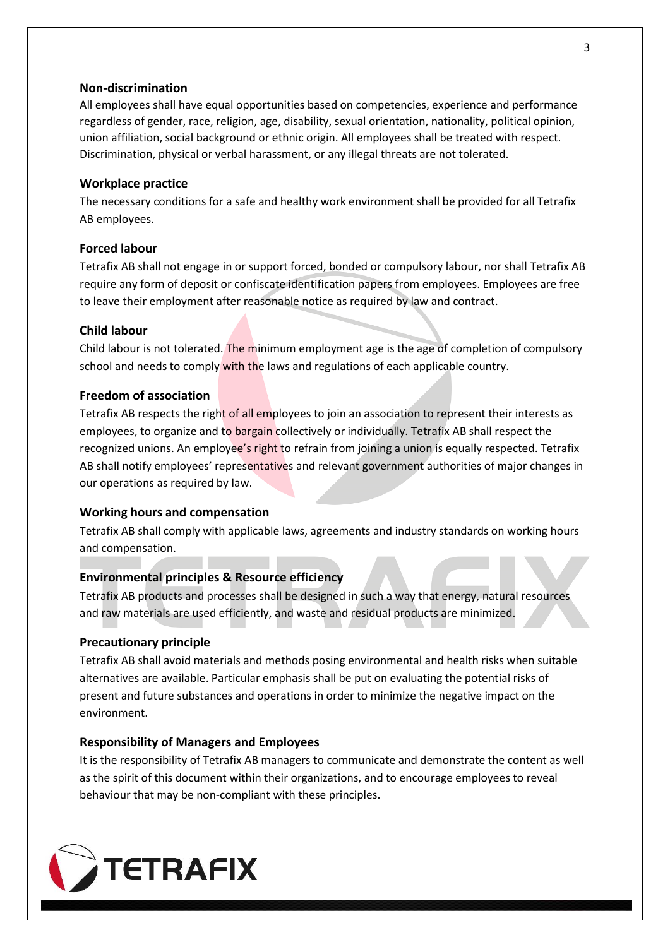#### **Non-discrimination**

All employees shall have equal opportunities based on competencies, experience and performance regardless of gender, race, religion, age, disability, sexual orientation, nationality, political opinion, union affiliation, social background or ethnic origin. All employees shall be treated with respect. Discrimination, physical or verbal harassment, or any illegal threats are not tolerated.

#### **Workplace practice**

The necessary conditions for a safe and healthy work environment shall be provided for all Tetrafix AB employees.

#### **Forced labour**

Tetrafix AB shall not engage in or support forced, bonded or compulsory labour, nor shall Tetrafix AB require any form of deposit or confiscate identification papers from employees. Employees are free to leave their employment after reasonable notice as required by law and contract.

#### **Child labour**

Child labour is not tolerated. The minimum employment age is the age of completion of compulsory school and needs to comply with the laws and regulations of each applicable country.

#### **Freedom of association**

Tetrafix AB respects the right of all employees to join an association to represent their interests as employees, to organize and to bargain collectively or individually. Tetrafix AB shall respect the recognized unions. An employee's right to refrain from joining a union is equally respected. Tetrafix AB shall notify employees' representatives and relevant government authorities of major changes in our operations as required by law.

#### **Working hours and compensation**

Tetrafix AB shall comply with applicable laws, agreements and industry standards on working hours and compensation.

#### **Environmental principles & Resource efficiency**

Tetrafix AB products and processes shall be designed in such a way that energy, natural resources and raw materials are used efficiently, and waste and residual products are minimized.

#### **Precautionary principle**

Tetrafix AB shall avoid materials and methods posing environmental and health risks when suitable alternatives are available. Particular emphasis shall be put on evaluating the potential risks of present and future substances and operations in order to minimize the negative impact on the environment.

#### **Responsibility of Managers and Employees**

It is the responsibility of Tetrafix AB managers to communicate and demonstrate the content as well as the spirit of this document within their organizations, and to encourage employees to reveal behaviour that may be non-compliant with these principles.